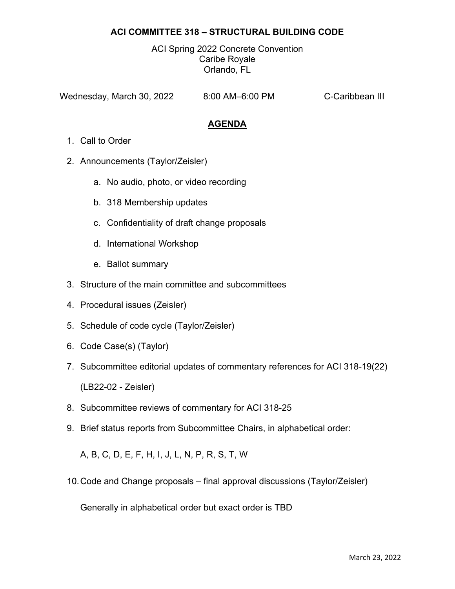# **ACI COMMITTEE 318 – STRUCTURAL BUILDING CODE**

ACI Spring 2022 Concrete Convention Caribe Royale Orlando, FL

Wednesday, March 30, 2022 8:00 AM–6:00 PM C-Caribbean III

# **AGENDA**

- 1. Call to Order
- 2. Announcements (Taylor/Zeisler)
	- a. No audio, photo, or video recording
	- b. 318 Membership updates
	- c. Confidentiality of draft change proposals
	- d. International Workshop
	- e. Ballot summary
- 3. Structure of the main committee and subcommittees
- 4. Procedural issues (Zeisler)
- 5. Schedule of code cycle (Taylor/Zeisler)
- 6. Code Case(s) (Taylor)
- 7. Subcommittee editorial updates of commentary references for ACI 318-19(22) (LB22-02 - Zeisler)
- 8. Subcommittee reviews of commentary for ACI 318-25
- 9. Brief status reports from Subcommittee Chairs, in alphabetical order:

A, B, C, D, E, F, H, I, J, L, N, P, R, S, T, W

10. Code and Change proposals – final approval discussions (Taylor/Zeisler)

Generally in alphabetical order but exact order is TBD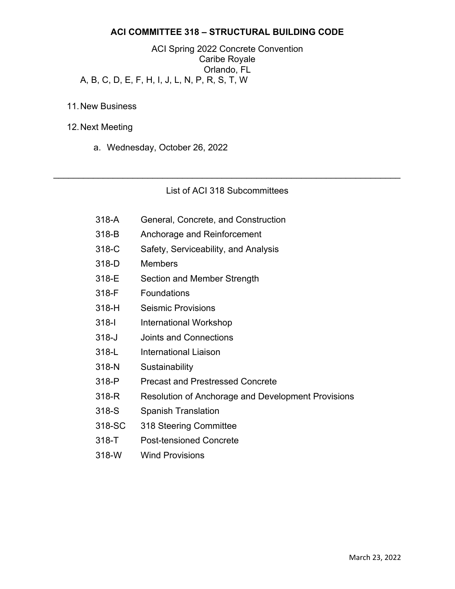## **ACI COMMITTEE 318 – STRUCTURAL BUILDING CODE**

ACI Spring 2022 Concrete Convention Caribe Royale Orlando, FL A, B, C, D, E, F, H, I, J, L, N, P, R, S, T, W

- 11. New Business
- 12. Next Meeting
	- a. Wednesday, October 26, 2022

### List of ACI 318 Subcommittees

 $\mathcal{L}_\mathcal{L} = \mathcal{L}_\mathcal{L} = \mathcal{L}_\mathcal{L} = \mathcal{L}_\mathcal{L} = \mathcal{L}_\mathcal{L} = \mathcal{L}_\mathcal{L} = \mathcal{L}_\mathcal{L} = \mathcal{L}_\mathcal{L} = \mathcal{L}_\mathcal{L} = \mathcal{L}_\mathcal{L} = \mathcal{L}_\mathcal{L} = \mathcal{L}_\mathcal{L} = \mathcal{L}_\mathcal{L} = \mathcal{L}_\mathcal{L} = \mathcal{L}_\mathcal{L} = \mathcal{L}_\mathcal{L} = \mathcal{L}_\mathcal{L}$ 

- 318-A General, Concrete, and Construction
- 318-B Anchorage and Reinforcement
- 318-C Safety, Serviceability, and Analysis
- 318-D Members
- 318-E Section and Member Strength
- 318-F Foundations
- 318-H Seismic Provisions
- 318-I International Workshop
- 318-J Joints and Connections
- 318-L International Liaison
- 318-N Sustainability
- 318-P Precast and Prestressed Concrete
- 318-R Resolution of Anchorage and Development Provisions
- 318-S Spanish Translation
- 318-SC 318 Steering Committee
- 318-T Post-tensioned Concrete
- 318-W Wind Provisions